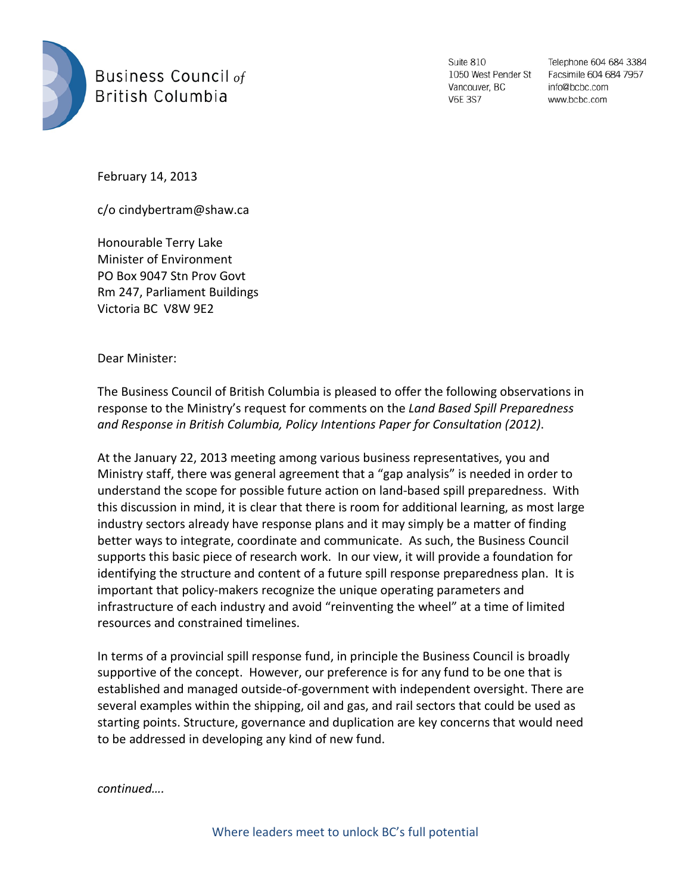

Suite 810 1050 West Pender St Vancouver, BC **V6E 3S7** 

Telephone 604 684 3384 Facsimile 604 684 7957 info@bcbc.com www.bcbc.com

February 14, 2013

c/o cindybertram@shaw.ca

Honourable Terry Lake Minister of Environment PO Box 9047 Stn Prov Govt Rm 247, Parliament Buildings Victoria BC V8W 9E2

Dear Minister:

The Business Council of British Columbia is pleased to offer the following observations in response to the Ministry's request for comments on the *Land Based Spill Preparedness and Response in British Columbia, Policy Intentions Paper for Consultation (2012)*.

At the January 22, 2013 meeting among various business representatives, you and Ministry staff, there was general agreement that a "gap analysis" is needed in order to understand the scope for possible future action on land-based spill preparedness. With this discussion in mind, it is clear that there is room for additional learning, as most large industry sectors already have response plans and it may simply be a matter of finding better ways to integrate, coordinate and communicate. As such, the Business Council supports this basic piece of research work. In our view, it will provide a foundation for identifying the structure and content of a future spill response preparedness plan. It is important that policy-makers recognize the unique operating parameters and infrastructure of each industry and avoid "reinventing the wheel" at a time of limited resources and constrained timelines.

In terms of a provincial spill response fund, in principle the Business Council is broadly supportive of the concept. However, our preference is for any fund to be one that is established and managed outside-of-government with independent oversight. There are several examples within the shipping, oil and gas, and rail sectors that could be used as starting points. Structure, governance and duplication are key concerns that would need to be addressed in developing any kind of new fund.

*continued….*